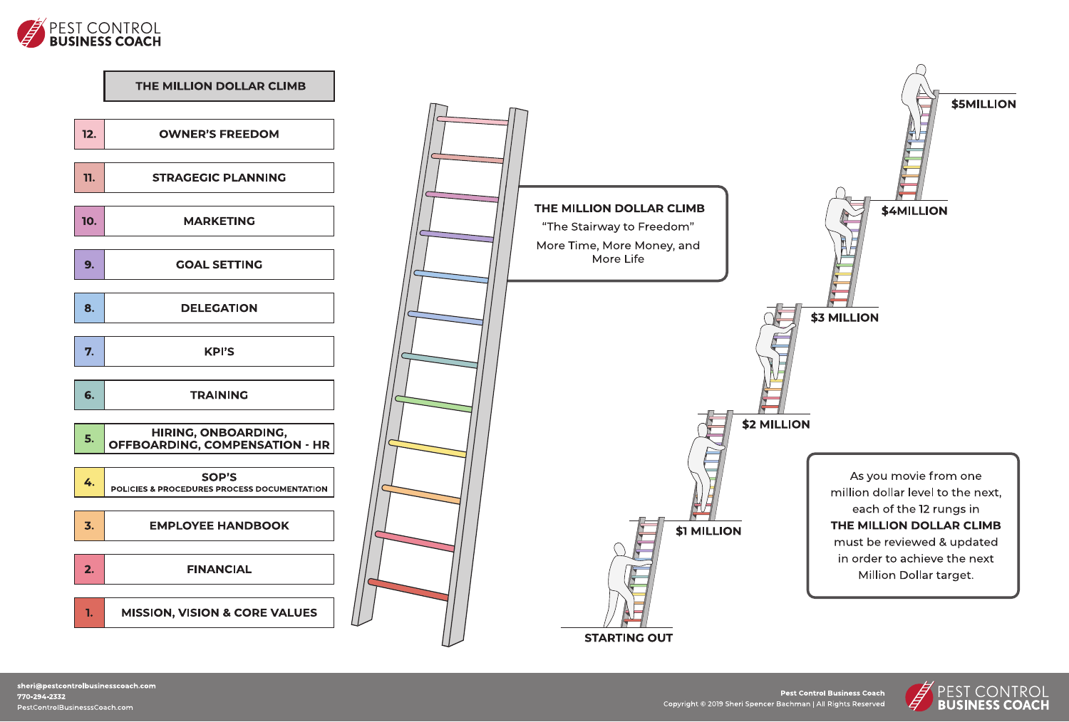



**Pest Control Business Coach** 

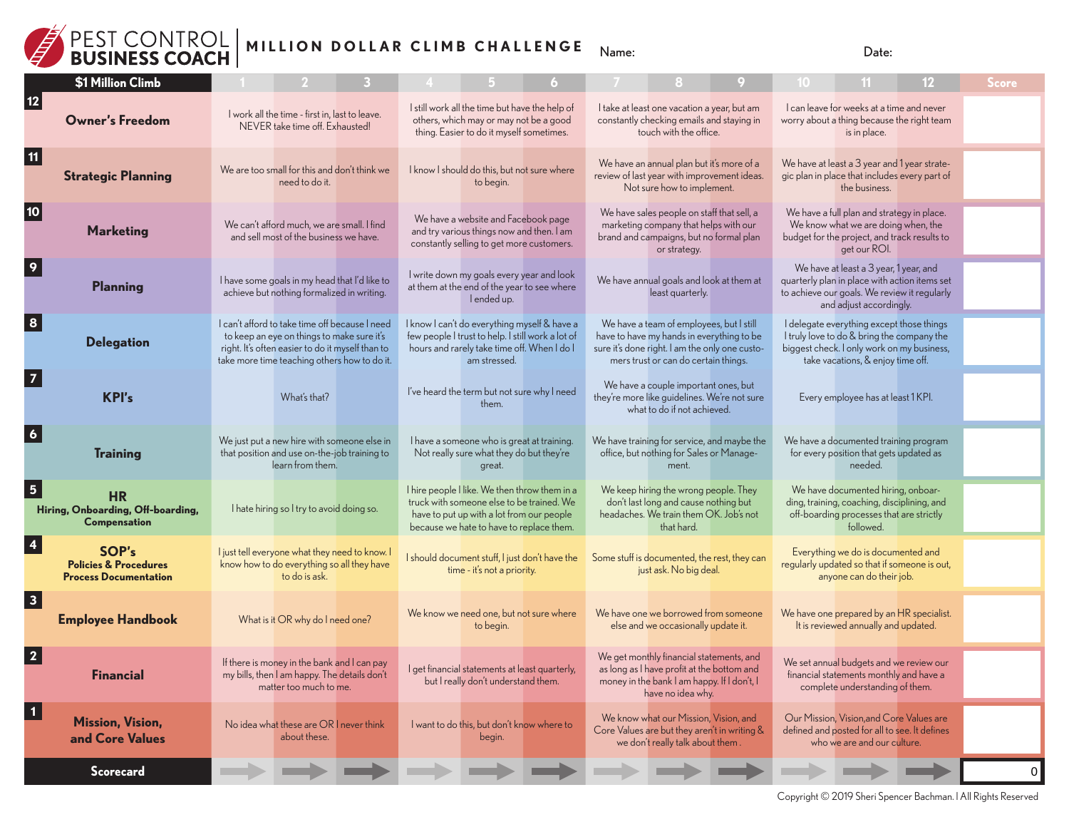

## **MILLION DOLLAR CLIMB CHALLENGE** Name: Date:

|                         | \$1 Million Climb                                                         |                                                                                                                                                                                                  |  |                                                                                                                                                                                     |  |                                                                                                                                                                                 |  |                                                                                                                                                                            | Score    |
|-------------------------|---------------------------------------------------------------------------|--------------------------------------------------------------------------------------------------------------------------------------------------------------------------------------------------|--|-------------------------------------------------------------------------------------------------------------------------------------------------------------------------------------|--|---------------------------------------------------------------------------------------------------------------------------------------------------------------------------------|--|----------------------------------------------------------------------------------------------------------------------------------------------------------------------------|----------|
| 12                      | <b>Owner's Freedom</b>                                                    | I work all the time - first in, last to leave.<br>NEVER take time off. Exhausted!                                                                                                                |  | I still work all the time but have the help of<br>others, which may or may not be a good<br>thing. Easier to do it myself sometimes.                                                |  | I take at least one vacation a year, but am<br>constantly checking emails and staying in<br>touch with the office.                                                              |  | I can leave for weeks at a time and never<br>worry about a thing because the right team<br>is in place.                                                                    |          |
| 11                      | <b>Strategic Planning</b>                                                 | We are too small for this and don't think we<br>need to do it.                                                                                                                                   |  | I know I should do this, but not sure where<br>to begin.                                                                                                                            |  | We have an annual plan but it's more of a<br>review of last year with improvement ideas.<br>Not sure how to implement.                                                          |  | We have at least a 3 year and 1 year strate-<br>gic plan in place that includes every part of<br>the business.                                                             |          |
| 10 <sub>1</sub>         | <b>Marketing</b>                                                          | We can't afford much, we are small. I find<br>and sell most of the business we have.                                                                                                             |  | We have a website and Facebook page<br>and try various things now and then. I am<br>constantly selling to get more customers.                                                       |  | We have sales people on staff that sell, a<br>marketing company that helps with our<br>brand and campaigns, but no formal plan<br>or strategy.                                  |  | We have a full plan and strategy in place.<br>We know what we are doing when, the<br>budget for the project, and track results to<br>get our ROI.                          |          |
| 9                       | <b>Planning</b>                                                           | I have some goals in my head that I'd like to<br>achieve but nothing formalized in writing.                                                                                                      |  | I write down my goals every year and look<br>at them at the end of the year to see where<br>l ended up.                                                                             |  | We have annual goals and look at them at<br>least quarterly.                                                                                                                    |  | We have at least a 3 year, 1 year, and<br>quarterly plan in place with action items set<br>to achieve our goals. We review it regularly<br>and adjust accordingly.         |          |
| $\overline{\mathbf{8}}$ | <b>Delegation</b>                                                         | I can't afford to take time off because I need<br>to keep an eye on things to make sure it's<br>right. It's often easier to do it myself than to<br>take more time teaching others how to do it. |  | I know I can't do everything myself & have a<br>few people I trust to help. I still work a lot of<br>hours and rarely take time off. When I do I<br>am stressed.                    |  | We have a team of employees, but I still<br>have to have my hands in everything to be<br>sure it's done right. I am the only one custo-<br>mers trust or can do certain things. |  | I delegate everything except those things<br>I truly love to do & bring the company the<br>biggest check. I only work on my business,<br>take vacations, & enjoy time off. |          |
|                         | <b>KPI's</b>                                                              | What's that?                                                                                                                                                                                     |  | I've heard the term but not sure why I need<br>them.                                                                                                                                |  | We have a couple important ones, but<br>they're more like guidelines. We're not sure<br>what to do if not achieved.                                                             |  | Every employee has at least 1 KPI.                                                                                                                                         |          |
|                         | <b>Training</b>                                                           | We just put a new hire with someone else in<br>that position and use on-the-job training to<br>learn from them.                                                                                  |  | I have a someone who is great at training.<br>Not really sure what they do but they're<br>great.                                                                                    |  | We have training for service, and maybe the<br>office, but nothing for Sales or Manage-<br>ment.                                                                                |  | We have a documented training program<br>for every position that gets updated as<br>needed.                                                                                |          |
|                         | <b>HR</b><br>Hiring, Onboarding, Off-boarding,<br><b>Compensation</b>     | I hate hiring so I try to avoid doing so.                                                                                                                                                        |  | I hire people I like. We then throw them in a<br>truck with someone else to be trained. We<br>have to put up with a lot from our people<br>because we hate to have to replace them. |  | We keep hiring the wrong people. They<br>don't last long and cause nothing but<br>headaches. We train them OK. Job's not<br>that hard.                                          |  | We have documented hiring, onboar-<br>ding, training, coaching, disciplining, and<br>off-boarding processes that are strictly<br>followed.                                 |          |
|                         | SOP's<br><b>Policies &amp; Procedures</b><br><b>Process Documentation</b> | I just tell everyone what they need to know. I<br>know how to do everything so all they have<br>to do is ask.                                                                                    |  | I should document stuff, I just don't have the<br>time - it's not a priority.                                                                                                       |  | Some stuff is documented, the rest, they can<br>just ask. No big deal.                                                                                                          |  | Everything we do is documented and<br>regularly updated so that if someone is out,<br>anyone can do their job.                                                             |          |
| $\overline{\mathbf{3}}$ | <b>Employee Handbook</b>                                                  | What is it OR why do I need one?                                                                                                                                                                 |  | We know we need one, but not sure where<br>to begin.                                                                                                                                |  | We have one we borrowed from someone<br>else and we occasionally update it.                                                                                                     |  | We have one prepared by an HR specialist.<br>It is reviewed annually and updated.                                                                                          |          |
|                         | <b>Financial</b>                                                          | If there is money in the bank and I can pay<br>my bills, then I am happy. The details don't<br>matter too much to me.                                                                            |  | I get financial statements at least quarterly,<br>but I really don't understand them.                                                                                               |  | We get monthly financial statements, and<br>as long as I have profit at the bottom and<br>money in the bank I am happy. If I don't, I<br>have no idea why.                      |  | We set annual budgets and we review our<br>financial statements monthly and have a<br>complete understanding of them.                                                      |          |
| $\mathbf 1$             | <b>Mission, Vision,</b><br>and Core Values                                | No idea what these are OR I never think<br>about these.                                                                                                                                          |  | I want to do this, but don't know where to<br>begin.                                                                                                                                |  | We know what our Mission, Vision, and<br>Core Values are but they aren't in writing &<br>we don't really talk about them.                                                       |  | Our Mission, Vision, and Core Values are<br>defined and posted for all to see. It defines<br>who we are and our culture.                                                   |          |
|                         | Scorecard                                                                 |                                                                                                                                                                                                  |  |                                                                                                                                                                                     |  |                                                                                                                                                                                 |  |                                                                                                                                                                            | $\Omega$ |

Copyright © 2019 Sheri Spencer Bachman. l All Rights Reserved